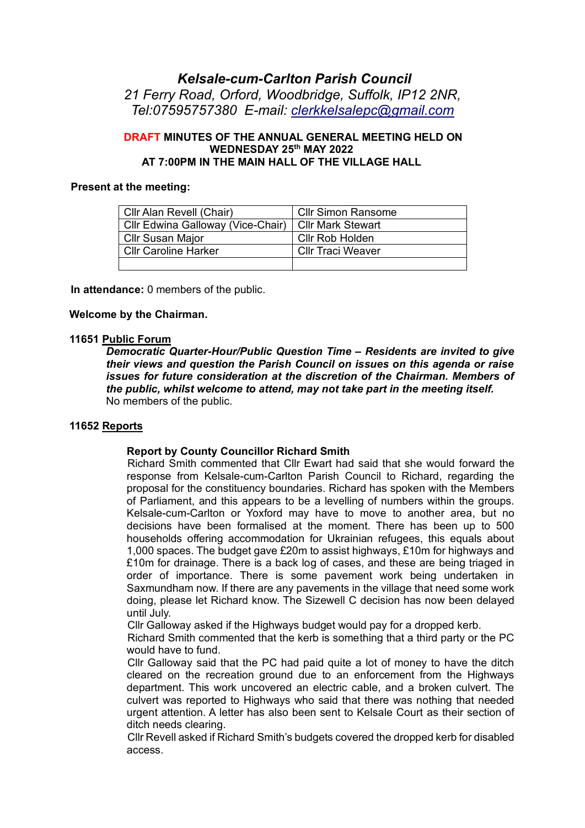# *Kelsale-cum-Carlton Parish Council 21 Ferry Road, Orford, Woodbridge, Suffolk, IP12 2NR, Tel:07595757380 E-mail: [clerkkelsalepc@gmail.com](mailto:clerkkelsalepc@gmail.com)*

#### **DRAFT MINUTES OF THE ANNUAL GENERAL MEETING HELD ON WEDNESDAY 25 th MAY 2022 AT 7:00PM IN THE MAIN HALL OF THE VILLAGE HALL**

#### **Present at the meeting:**

| Cllr Alan Revell (Chair)          | <b>Cllr Simon Ransome</b> |
|-----------------------------------|---------------------------|
| Cllr Edwina Galloway (Vice-Chair) | <b>Cllr Mark Stewart</b>  |
| <b>Cllr Susan Major</b>           | Cllr Rob Holden           |
| <b>Cllr Caroline Harker</b>       | <b>Cllr Traci Weaver</b>  |
|                                   |                           |

**In attendance:** 0 members of the public.

#### **Welcome by the Chairman.**

#### **11651 Public Forum**

*Democratic Quarter-Hour/Public Question Time – Residents are invited to give their views and question the Parish Council on issues on this agenda or raise issues for future consideration at the discretion of the Chairman. Members of the public, whilst welcome to attend, may not take part in the meeting itself.* No members of the public.

## **11652 Reports**

#### **Report by County Councillor Richard Smith**

Richard Smith commented that Cllr Ewart had said that she would forward the response from Kelsale-cum-Carlton Parish Council to Richard, regarding the proposal for the constituency boundaries. Richard has spoken with the Members of Parliament, and this appears to be a levelling of numbers within the groups. Kelsale-cum-Carlton or Yoxford may have to move to another area, but no decisions have been formalised at the moment. There has been up to 500 households offering accommodation for Ukrainian refugees, this equals about 1,000 spaces. The budget gave £20m to assist highways, £10m for highways and £10m for drainage. There is a back log of cases, and these are being triaged in order of importance. There is some pavement work being undertaken in Saxmundham now. If there are any pavements in the village that need some work doing, please let Richard know. The Sizewell C decision has now been delayed until July.

Cllr Galloway asked if the Highways budget would pay for a dropped kerb.

Richard Smith commented that the kerb is something that a third party or the PC would have to fund.

Cllr Galloway said that the PC had paid quite a lot of money to have the ditch cleared on the recreation ground due to an enforcement from the Highways department. This work uncovered an electric cable, and a broken culvert. The culvert was reported to Highways who said that there was nothing that needed urgent attention. A letter has also been sent to Kelsale Court as their section of ditch needs clearing.

Cllr Revell asked if Richard Smith's budgets covered the dropped kerb for disabled access.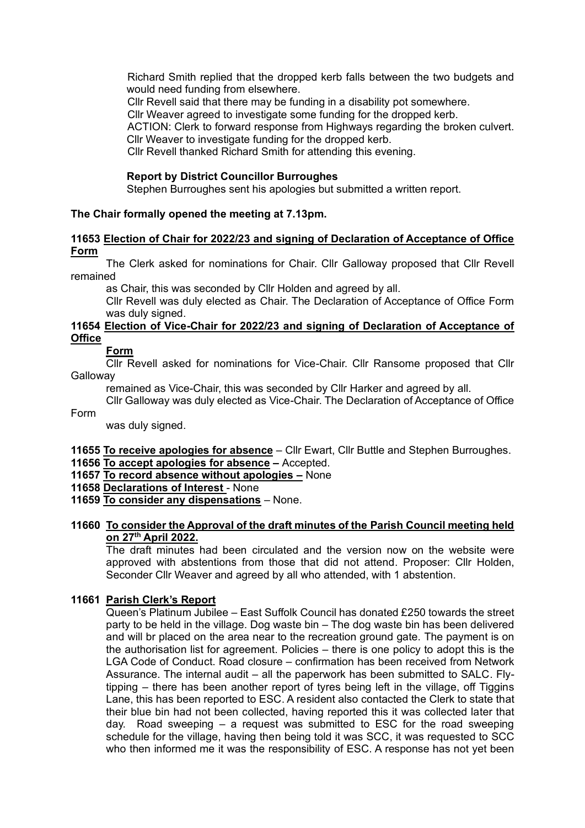Richard Smith replied that the dropped kerb falls between the two budgets and would need funding from elsewhere.

Cllr Revell said that there may be funding in a disability pot somewhere.

Cllr Weaver agreed to investigate some funding for the dropped kerb.

ACTION: Clerk to forward response from Highways regarding the broken culvert. Cllr Weaver to investigate funding for the dropped kerb.

Cllr Revell thanked Richard Smith for attending this evening.

#### **Report by District Councillor Burroughes**

Stephen Burroughes sent his apologies but submitted a written report.

#### **The Chair formally opened the meeting at 7.13pm.**

## **11653 Election of Chair for 2022/23 and signing of Declaration of Acceptance of Office Form**

The Clerk asked for nominations for Chair. Cllr Galloway proposed that Cllr Revell remained

as Chair, this was seconded by Cllr Holden and agreed by all.

Cllr Revell was duly elected as Chair. The Declaration of Acceptance of Office Form was duly signed.

#### **11654 Election of Vice-Chair for 2022/23 and signing of Declaration of Acceptance of Office**

## **Form**

Cllr Revell asked for nominations for Vice-Chair. Cllr Ransome proposed that Cllr **Galloway** 

remained as Vice-Chair, this was seconded by Cllr Harker and agreed by all.

Cllr Galloway was duly elected as Vice-Chair. The Declaration of Acceptance of Office Form

was duly signed.

**11655 To receive apologies for absence** – Cllr Ewart, Cllr Buttle and Stephen Burroughes.

- **11656 To accept apologies for absence –** Accepted.
- **11657 To record absence without apologies –** None
- **11658 Declarations of Interest** None
- **11659 To consider any dispensations** None.

#### **11660 To consider the Approval of the draft minutes of the Parish Council meeting held on 27th April 2022.**

The draft minutes had been circulated and the version now on the website were approved with abstentions from those that did not attend. Proposer: Cllr Holden, Seconder Cllr Weaver and agreed by all who attended, with 1 abstention.

## **11661 Parish Clerk's Report**

Queen's Platinum Jubilee – East Suffolk Council has donated £250 towards the street party to be held in the village. Dog waste bin – The dog waste bin has been delivered and will br placed on the area near to the recreation ground gate. The payment is on the authorisation list for agreement. Policies – there is one policy to adopt this is the LGA Code of Conduct. Road closure – confirmation has been received from Network Assurance. The internal audit – all the paperwork has been submitted to SALC. Flytipping – there has been another report of tyres being left in the village, off Tiggins Lane, this has been reported to ESC. A resident also contacted the Clerk to state that their blue bin had not been collected, having reported this it was collected later that day. Road sweeping – a request was submitted to ESC for the road sweeping schedule for the village, having then being told it was SCC, it was requested to SCC who then informed me it was the responsibility of ESC. A response has not yet been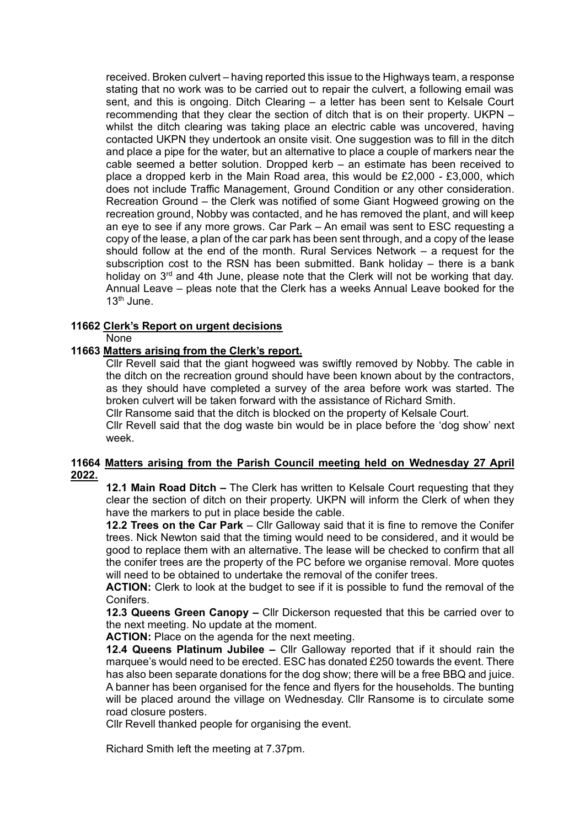received. Broken culvert – having reported this issue to the Highways team, a response stating that no work was to be carried out to repair the culvert, a following email was sent, and this is ongoing. Ditch Clearing – a letter has been sent to Kelsale Court recommending that they clear the section of ditch that is on their property. UKPN – whilst the ditch clearing was taking place an electric cable was uncovered, having contacted UKPN they undertook an onsite visit. One suggestion was to fill in the ditch and place a pipe for the water, but an alternative to place a couple of markers near the cable seemed a better solution. Dropped kerb – an estimate has been received to place a dropped kerb in the Main Road area, this would be £2,000 - £3,000, which does not include Traffic Management, Ground Condition or any other consideration. Recreation Ground – the Clerk was notified of some Giant Hogweed growing on the recreation ground, Nobby was contacted, and he has removed the plant, and will keep an eye to see if any more grows. Car Park – An email was sent to ESC requesting a copy of the lease, a plan of the car park has been sent through, and a copy of the lease should follow at the end of the month. Rural Services Network – a request for the subscription cost to the RSN has been submitted. Bank holiday – there is a bank holiday on 3<sup>rd</sup> and 4th June, please note that the Clerk will not be working that day. Annual Leave – pleas note that the Clerk has a weeks Annual Leave booked for the  $13<sup>th</sup>$  June.

## **11662 Clerk's Report on urgent decisions**

None

## **11663 Matters arising from the Clerk's report.**

Cllr Revell said that the giant hogweed was swiftly removed by Nobby. The cable in the ditch on the recreation ground should have been known about by the contractors, as they should have completed a survey of the area before work was started. The broken culvert will be taken forward with the assistance of Richard Smith.

Cllr Ransome said that the ditch is blocked on the property of Kelsale Court.

Cllr Revell said that the dog waste bin would be in place before the 'dog show' next week.

# **11664 Matters arising from the Parish Council meeting held on Wednesday 27 April 2022.**

**12.1 Main Road Ditch –** The Clerk has written to Kelsale Court requesting that they clear the section of ditch on their property. UKPN will inform the Clerk of when they have the markers to put in place beside the cable.

**12.2 Trees on the Car Park** – Cllr Galloway said that it is fine to remove the Conifer trees. Nick Newton said that the timing would need to be considered, and it would be good to replace them with an alternative. The lease will be checked to confirm that all the conifer trees are the property of the PC before we organise removal. More quotes will need to be obtained to undertake the removal of the conifer trees.

**ACTION:** Clerk to look at the budget to see if it is possible to fund the removal of the **Conifers** 

**12.3 Queens Green Canopy –** Cllr Dickerson requested that this be carried over to the next meeting. No update at the moment.

**ACTION:** Place on the agenda for the next meeting.

**12.4 Queens Platinum Jubilee –** Cllr Galloway reported that if it should rain the marquee's would need to be erected. ESC has donated £250 towards the event. There has also been separate donations for the dog show; there will be a free BBQ and juice. A banner has been organised for the fence and flyers for the households. The bunting will be placed around the village on Wednesday. Cllr Ransome is to circulate some road closure posters.

Cllr Revell thanked people for organising the event.

Richard Smith left the meeting at 7.37pm.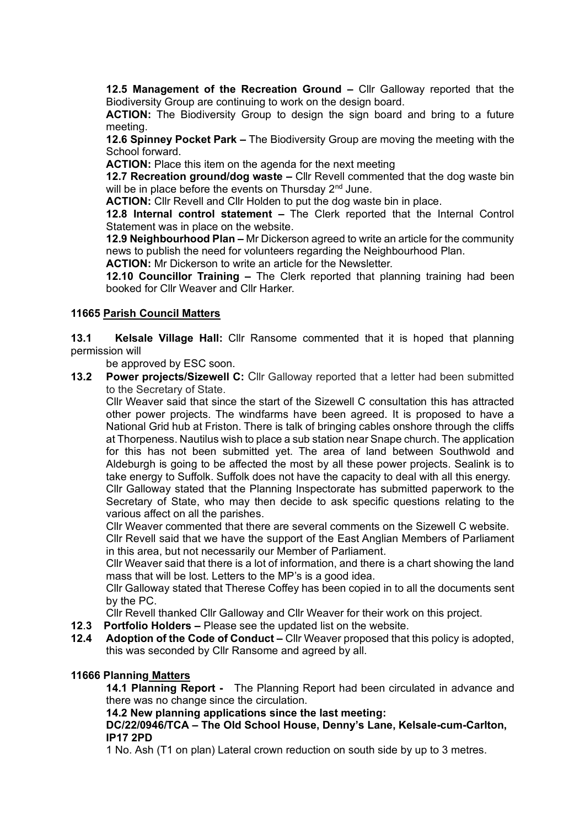**12.5 Management of the Recreation Ground –** Cllr Galloway reported that the Biodiversity Group are continuing to work on the design board.

**ACTION:** The Biodiversity Group to design the sign board and bring to a future meeting.

**12.6 Spinney Pocket Park –** The Biodiversity Group are moving the meeting with the School forward.

**ACTION:** Place this item on the agenda for the next meeting

**12.7 Recreation ground/dog waste –** Cllr Revell commented that the dog waste bin will be in place before the events on Thursday 2<sup>nd</sup> June.

**ACTION:** Cllr Revell and Cllr Holden to put the dog waste bin in place.

**12.8 Internal control statement –** The Clerk reported that the Internal Control Statement was in place on the website.

**12.9 Neighbourhood Plan –** Mr Dickerson agreed to write an article for the community news to publish the need for volunteers regarding the Neighbourhood Plan.

**ACTION:** Mr Dickerson to write an article for the Newsletter.

**12.10 Councillor Training –** The Clerk reported that planning training had been booked for Cllr Weaver and Cllr Harker.

#### **11665 Parish Council Matters**

**13.1 Kelsale Village Hall:** Cllr Ransome commented that it is hoped that planning permission will

be approved by ESC soon.

**13.2 Power projects/Sizewell C:** Cllr Galloway reported that a letter had been submitted to the Secretary of State.

Cllr Weaver said that since the start of the Sizewell C consultation this has attracted other power projects. The windfarms have been agreed. It is proposed to have a National Grid hub at Friston. There is talk of bringing cables onshore through the cliffs at Thorpeness. Nautilus wish to place a sub station near Snape church. The application for this has not been submitted yet. The area of land between Southwold and Aldeburgh is going to be affected the most by all these power projects. Sealink is to take energy to Suffolk. Suffolk does not have the capacity to deal with all this energy.

Cllr Galloway stated that the Planning Inspectorate has submitted paperwork to the Secretary of State, who may then decide to ask specific questions relating to the various affect on all the parishes.

Cllr Weaver commented that there are several comments on the Sizewell C website.

Cllr Revell said that we have the support of the East Anglian Members of Parliament in this area, but not necessarily our Member of Parliament.

Cllr Weaver said that there is a lot of information, and there is a chart showing the land mass that will be lost. Letters to the MP's is a good idea.

Cllr Galloway stated that Therese Coffey has been copied in to all the documents sent by the PC.

Cllr Revell thanked Cllr Galloway and Cllr Weaver for their work on this project.

- **12**.**3 Portfolio Holders –** Please see the updated list on the website.
- **12.4 Adoption of the Code of Conduct –** Cllr Weaver proposed that this policy is adopted, this was seconded by Cllr Ransome and agreed by all.

## **11666 Planning Matters**

**14.1 Planning Report -** The Planning Report had been circulated in advance and there was no change since the circulation.

**14.2 New planning applications since the last meeting:**

**DC/22/0946/TCA – The Old School House, Denny's Lane, Kelsale-cum-Carlton, IP17 2PD**

1 No. Ash (T1 on plan) Lateral crown reduction on south side by up to 3 metres.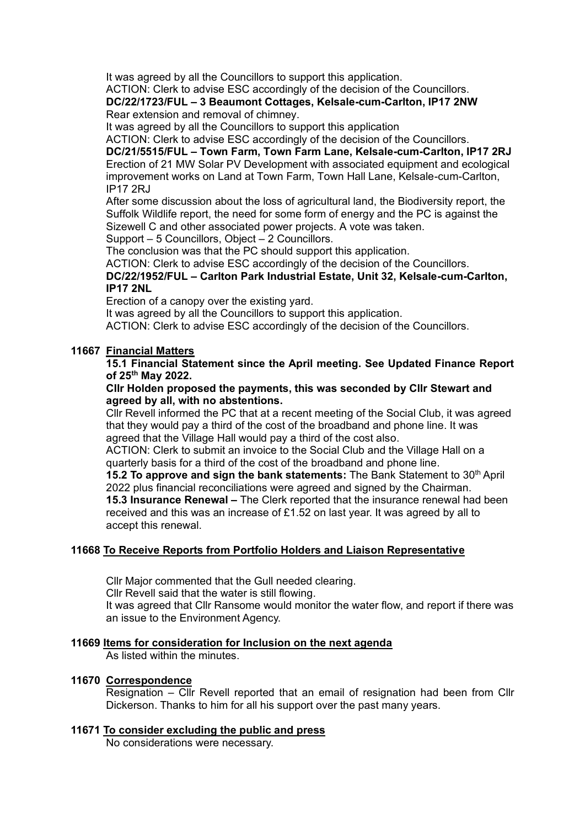It was agreed by all the Councillors to support this application.

ACTION: Clerk to advise ESC accordingly of the decision of the Councillors. **DC/22/1723/FUL – 3 Beaumont Cottages, Kelsale-cum-Carlton, IP17 2NW** Rear extension and removal of chimney.

It was agreed by all the Councillors to support this application

ACTION: Clerk to advise ESC accordingly of the decision of the Councillors.

**DC/21/5515/FUL – Town Farm, Town Farm Lane, Kelsale-cum-Carlton, IP17 2RJ** Erection of 21 MW Solar PV Development with associated equipment and ecological improvement works on Land at Town Farm, Town Hall Lane, Kelsale-cum-Carlton, IP17 2RJ

After some discussion about the loss of agricultural land, the Biodiversity report, the Suffolk Wildlife report, the need for some form of energy and the PC is against the Sizewell C and other associated power projects. A vote was taken.

Support – 5 Councillors, Object – 2 Councillors.

The conclusion was that the PC should support this application.

ACTION: Clerk to advise ESC accordingly of the decision of the Councillors.

# **DC/22/1952/FUL – Carlton Park Industrial Estate, Unit 32, Kelsale-cum-Carlton, IP17 2NL**

Erection of a canopy over the existing yard.

It was agreed by all the Councillors to support this application.

ACTION: Clerk to advise ESC accordingly of the decision of the Councillors.

## **11667 Financial Matters**

**15.1 Financial Statement since the April meeting. See Updated Finance Report of 25 th May 2022.**

**Cllr Holden proposed the payments, this was seconded by Cllr Stewart and agreed by all, with no abstentions.** 

Cllr Revell informed the PC that at a recent meeting of the Social Club, it was agreed that they would pay a third of the cost of the broadband and phone line. It was agreed that the Village Hall would pay a third of the cost also.

ACTION: Clerk to submit an invoice to the Social Club and the Village Hall on a quarterly basis for a third of the cost of the broadband and phone line.

**15.2 To approve and sign the bank statements:** The Bank Statement to 30<sup>th</sup> April 2022 plus financial reconciliations were agreed and signed by the Chairman. **15.3 Insurance Renewal –** The Clerk reported that the insurance renewal had been received and this was an increase of £1.52 on last year. It was agreed by all to accept this renewal.

## **11668 To Receive Reports from Portfolio Holders and Liaison Representative**

Cllr Major commented that the Gull needed clearing.

Cllr Revell said that the water is still flowing.

It was agreed that Cllr Ransome would monitor the water flow, and report if there was an issue to the Environment Agency.

## **11669 Items for consideration for Inclusion on the next agenda**

As listed within the minutes.

## **11670 Correspondence**

Resignation – Cllr Revell reported that an email of resignation had been from Cllr Dickerson. Thanks to him for all his support over the past many years.

## **11671 To consider excluding the public and press**

No considerations were necessary.